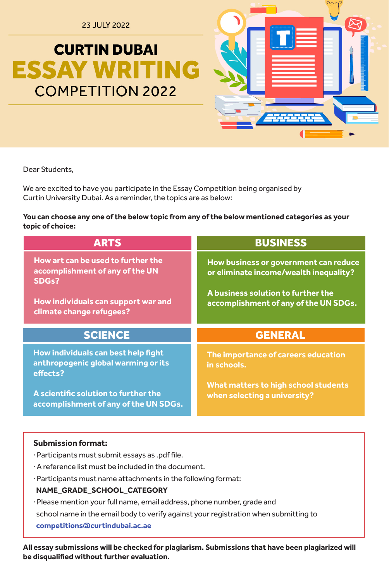**23 JULY 2022** 

# **CURTIN DUBAI ESSAY WRITING COMPETITION 2022**



Dear Students.

We are excited to have you participate in the Essay Competition being organised by Curtin University Dubai. As a reminder, the topics are as below:

## You can choose any one of the below topic from any of the below mentioned categories as your topic of choice:

| <b>ARTS</b>                                                                                 | <b>BUSINESS</b>                                                                                                                                                |  |
|---------------------------------------------------------------------------------------------|----------------------------------------------------------------------------------------------------------------------------------------------------------------|--|
| How art can be used to further the<br>accomplishment of any of the UN<br>SDG <sub>s</sub> ? | How business or government can reduce<br>or eliminate income/wealth inequality?<br>A business solution to further the<br>accomplishment of any of the UN SDGs. |  |
| How individuals can support war and<br>climate change refugees?                             |                                                                                                                                                                |  |
|                                                                                             |                                                                                                                                                                |  |
| <b>SCIENCE</b>                                                                              | <b>GENERAL</b>                                                                                                                                                 |  |
| How individuals can best help fight<br>anthropogenic global warming or its<br>effects?      | The importance of careers education<br>in schools.                                                                                                             |  |

## **Submission format:**

. Participants must submit essays as .pdf file.

- $\cdot$  A reference list must be included in the document.
- · Participants must name attachments in the following format:

## NAME GRADE SCHOOL CATEGORY

· Please mention your full name, email address, phone number, grade and school name in the email body to verify against your registration when submitting to competitions @curtindubai.ac.ae

All essay submissions will be checked for plagiarism. Submissions that have been plagiarized will be disqualified without further evaluation.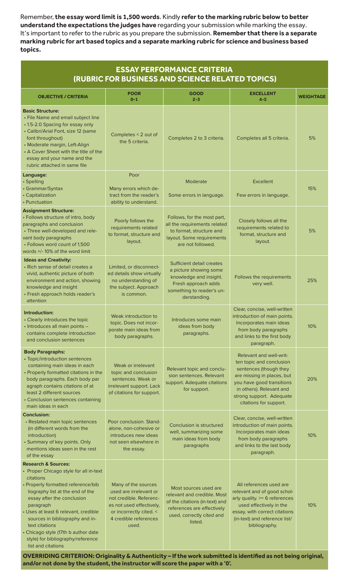Remember, the essay word limit is 1,500 words. Kindly refer to the marking rubric below to better understand the expectations the judges have regarding your submission while marking the essay. It's important to refer to the rubric as you prepare the submission. Remember that there is a separate marking rubric for art based topics and a separate marking rubric for science and business based **.topics**

| <b>ESSAY PERFORMANCE CRITERIA</b><br>(RUBRIC FOR BUSINESS AND SCIENCE RELATED TOPICS)                                                                                                                                                                                                                                         |                                                                                                                                                                   |                                                                                                                                                              |                                                                                                                                                                                                                            |                  |  |  |  |
|-------------------------------------------------------------------------------------------------------------------------------------------------------------------------------------------------------------------------------------------------------------------------------------------------------------------------------|-------------------------------------------------------------------------------------------------------------------------------------------------------------------|--------------------------------------------------------------------------------------------------------------------------------------------------------------|----------------------------------------------------------------------------------------------------------------------------------------------------------------------------------------------------------------------------|------------------|--|--|--|
| <b>OBJECTIVE / CRITERIA</b>                                                                                                                                                                                                                                                                                                   | <b>POOR</b><br>$0 - 1$                                                                                                                                            | <b>GOOD</b><br>$2 - 3$                                                                                                                                       | <b>EXCELLENT</b><br>$4 - 5$                                                                                                                                                                                                | <b>WEIGHTAGE</b> |  |  |  |
| <b>Basic Structure:</b><br>• File Name and email subject line<br>• 1.5-2.0 Spacing for essay only<br>• Calibri/Arial Font, size 12 (same<br>font throughout)<br>• Moderate margin, Left-Align<br>• A Cover Sheet with the title of the<br>essay and your name and the<br>rubric attached in same file                         | Completes < 2 out of<br>the 5 criteria.                                                                                                                           | Completes 2 to 3 criteria.                                                                                                                                   | Completes all 5 criteria.                                                                                                                                                                                                  | 5%               |  |  |  |
| Language:<br>• Spelling<br>• Grammar/Syntax<br>• Capitalization<br>• Punctuation                                                                                                                                                                                                                                              | Poor<br>Many errors which de-<br>tract from the reader's<br>ability to understand.                                                                                | Moderate<br>Some errors in language.                                                                                                                         | Excellent<br>Few errors in language.                                                                                                                                                                                       | 15%              |  |  |  |
| <b>Assignment Structure:</b><br>• Follows structure of intro, body<br>paragraphs and conclusion<br>• Three well-developed and rele-<br>vant body paragraphs<br>• Follows word count of 1,500<br>words +/-10% of the word limit                                                                                                | Poorly follows the<br>requirements related<br>to format, structure and<br>layout.                                                                                 | Follows, for the most part,<br>all the requirements related<br>to format, structure and<br>layout. Some requirements<br>are not followed.                    | Closely follows all the<br>requirements related to<br>format, structure and<br>layout.                                                                                                                                     | 5%               |  |  |  |
| <b>Ideas and Creativity:</b><br>• Rich sense of detail creates a<br>vivid, authentic picture of both<br>environment and action, showing<br>knowledge and insight<br>• Fresh approach holds reader's<br>attention                                                                                                              | Limited, or disconnect-<br>ed details show virtually<br>no understanding of<br>the subject. Approach<br>is common.                                                | Sufficient detail creates<br>a picture showing some<br>knowledge and insight.<br>Fresh approach adds<br>something to reader's un-<br>derstanding.            | Follows the requirements<br>very well.                                                                                                                                                                                     | 25%              |  |  |  |
| Introduction:<br>• Clearly introduces the topic<br>· Introduces all main points -<br>contains complete introduction<br>and conclusion sentences                                                                                                                                                                               | Weak introduction to<br>topic. Does not incor-<br>porate main ideas from<br>body paragraphs.                                                                      | Introduces some main<br>ideas from body<br>paragraphs.                                                                                                       | Clear, concise, well-written<br>introduction of main points.<br>Incorporates main ideas<br>from body paragraphs<br>and links to the first body<br>paragraph.                                                               | 10%              |  |  |  |
| <b>Body Paragraphs:</b><br>• Topic/introduction sentences<br>containing main ideas in each<br>• Properly formatted citations in the<br>body paragraphs. Each body par<br>agraph contains citations of at<br>least 2 different sources<br>• Conclusion sentences containing<br>main ideas in each                              | Weak or irrelevant<br>topic and conclusion<br>sentences. Weak or<br>irrelevant support. Lack<br>of citations for support.                                         | Relevant topic and conclu-<br>sion sentences. Relevant<br>support. Adequate citations<br>for support.                                                        | Relevant and well-writ-<br>ten topic and conclusion<br>sentences (though they<br>are missing in places, but<br>you have good transitions<br>in others). Relevant and<br>strong support. Adequate<br>citations for support. | 20%              |  |  |  |
| <b>Conclusion:</b><br>• Restated main topic sentences<br>(in different words from the<br>introduction)<br>• Summary of key points. Only<br>mentions ideas seen in the rest<br>of the essay                                                                                                                                    | Poor conclusion. Stand-<br>alone, non-cohesive or<br>introduces new ideas<br>not seen elsewhere in<br>the essay.                                                  | Conclusion is structured<br>well, summarizing some<br>main ideas from body<br>paragraphs                                                                     | Clear, concise, well-written<br>introduction of main points.<br>Incorporates main ideas<br>from body paragraphs<br>and links to the last body<br>paragraph.                                                                | 10%              |  |  |  |
| <b>Research &amp; Sources:</b><br>• Proper Chicago style for all in-text                                                                                                                                                                                                                                                      |                                                                                                                                                                   |                                                                                                                                                              |                                                                                                                                                                                                                            |                  |  |  |  |
| citations<br>• Properly formatted reference/bib<br>liography list at the end of the<br>essay after the conclusion<br>paragraph<br>• Uses at least 6 relevant, credible<br>sources in bibliography and in-<br>text citations<br>• Chicago style (17th b author date<br>style) for bibliography/reference<br>list and citations | Many of the sources<br>used are irrelevant or<br>not credible. Referenc-<br>es not used effectively,<br>or incorrectly cited. <<br>4 credible references<br>used. | Most sources used are<br>relevant and credible. Most<br>of the citations (in-text) and<br>references are effectively<br>used, correctly cited and<br>listed. | All references used are<br>relevant and of good schol-<br>arly quality. >= 6 references<br>used effectively in the<br>essay, with correct citations<br>(in-text) and reference list/<br>bibliography.                      | 10%              |  |  |  |

OVERRIDING CRITERION: Originality & Authenticity - If the work submitted is identified as not being original, and/or not done by the student, the instructor will score the paper with a '0'.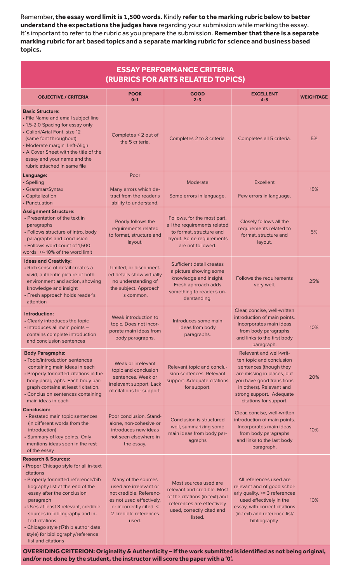Remember, the essay word limit is 1,500 words. Kindly refer to the marking rubric below to better understand the expectations the judges have regarding your submission while marking the essay. It's important to refer to the rubric as you prepare the submission. Remember that there is a separate marking rubric for art based topics and a separate marking rubric for science and business based **.topics**

| <b>ESSAY PERFORMANCE CRITERIA</b><br>(RUBRICS FOR ARTS RELATED TOPICS)                                                                                                                                                                                                                                                                                                                                    |                                                                                                                                                                   |                                                                                                                                                              |                                                                                                                                                                                                                            |                  |  |  |  |
|-----------------------------------------------------------------------------------------------------------------------------------------------------------------------------------------------------------------------------------------------------------------------------------------------------------------------------------------------------------------------------------------------------------|-------------------------------------------------------------------------------------------------------------------------------------------------------------------|--------------------------------------------------------------------------------------------------------------------------------------------------------------|----------------------------------------------------------------------------------------------------------------------------------------------------------------------------------------------------------------------------|------------------|--|--|--|
| <b>OBJECTIVE / CRITERIA</b>                                                                                                                                                                                                                                                                                                                                                                               | <b>POOR</b><br>$0 - 1$                                                                                                                                            | <b>GOOD</b><br>$2 - 3$                                                                                                                                       | <b>EXCELLENT</b><br>$4 - 5$                                                                                                                                                                                                | <b>WEIGHTAGE</b> |  |  |  |
| <b>Basic Structure:</b><br>• File Name and email subject line<br>• 1.5-2.0 Spacing for essay only<br>• Calibri/Arial Font, size 12<br>(same font throughout)<br>• Moderate margin, Left-Align<br>• A Cover Sheet with the title of the<br>essay and your name and the<br>rubric attached in same file                                                                                                     | Completes < 2 out of<br>the 5 criteria.                                                                                                                           | Completes 2 to 3 criteria.                                                                                                                                   | Completes all 5 criteria.                                                                                                                                                                                                  | 5%               |  |  |  |
| Language:                                                                                                                                                                                                                                                                                                                                                                                                 | Poor                                                                                                                                                              |                                                                                                                                                              |                                                                                                                                                                                                                            |                  |  |  |  |
| • Spelling<br>• Grammar/Syntax<br>• Capitalization<br>• Punctuation                                                                                                                                                                                                                                                                                                                                       | Many errors which de-<br>tract from the reader's<br>ability to understand.                                                                                        | Moderate<br>Some errors in language.                                                                                                                         | <b>Excellent</b><br>Few errors in language.                                                                                                                                                                                | 15%              |  |  |  |
| <b>Assignment Structure:</b><br>• Presentation of the text in<br>paragraphs<br>• Follows structure of intro, body<br>paragraphs and conclusion<br>• Follows word count of 1,500<br>words $+/-10\%$ of the word limit                                                                                                                                                                                      | Poorly follows the<br>requirements related<br>to format, structure and<br>layout.                                                                                 | Follows, for the most part,<br>all the requirements related<br>to format, structure and<br>layout. Some requirements<br>are not followed.                    | Closely follows all the<br>requirements related to<br>format, structure and<br>layout.                                                                                                                                     | 5%               |  |  |  |
| <b>Ideas and Creativity:</b><br>• Rich sense of detail creates a<br>vivid, authentic picture of both<br>environment and action, showing<br>knowledge and insight<br>• Fresh approach holds reader's<br>attention                                                                                                                                                                                          | Limited, or disconnect-<br>ed details show virtually<br>no understanding of<br>the subject. Approach<br>is common.                                                | Sufficient detail creates<br>a picture showing some<br>knowledge and insight.<br>Fresh approach adds<br>something to reader's un-<br>derstanding.            | Follows the requirements<br>very well.                                                                                                                                                                                     | 25%              |  |  |  |
| Introduction:<br>• Clearly introduces the topic<br>· Introduces all main points -<br>contains complete introduction<br>and conclusion sentences                                                                                                                                                                                                                                                           | Weak introduction to<br>topic. Does not incor-<br>porate main ideas from<br>body paragraphs.                                                                      | Introduces some main<br>ideas from body<br>paragraphs.                                                                                                       | Clear, concise, well-written<br>introduction of main points.<br>Incorporates main ideas<br>from body paragraphs<br>and links to the first body<br>paragraph.                                                               | 10%              |  |  |  |
| <b>Body Paragraphs:</b><br>• Topic/introduction sentences<br>containing main ideas in each<br>• Properly formatted citations in the<br>body paragraphs. Each body par-<br>graph contains at least 1 citation.<br>• Conclusion sentences containing<br>main ideas in each                                                                                                                                  | Weak or irrelevant<br>topic and conclusion<br>sentences. Weak or<br>irrelevant support. Lack<br>of citations for support.                                         | Relevant topic and conclu-<br>sion sentences. Relevant<br>support. Adequate citations<br>for support.                                                        | Relevant and well-writ-<br>ten topic and conclusion<br>sentences (though they<br>are missing in places, but<br>you have good transitions<br>in others). Relevant and<br>strong support. Adequate<br>citations for support. | 20%              |  |  |  |
| <b>Conclusion:</b><br>• Restated main topic sentences<br>(in different words from the<br>introduction)<br>• Summary of key points. Only<br>mentions ideas seen in the rest<br>of the essay                                                                                                                                                                                                                | Poor conclusion. Stand-<br>alone, non-cohesive or<br>introduces new ideas<br>not seen elsewhere in<br>the essay.                                                  | Conclusion is structured<br>well, summarizing some<br>main ideas from body par-<br>agraphs                                                                   | Clear, concise, well-written<br>introduction of main points.<br>Incorporates main ideas<br>from body paragraphs<br>and links to the last body<br>paragraph.                                                                | 10%              |  |  |  |
| <b>Research &amp; Sources:</b><br>• Proper Chicago style for all in-text<br>citations<br>• Properly formatted reference/bib<br>liography list at the end of the<br>essay after the conclusion<br>paragraph<br>• Uses at least 3 relevant, credible<br>sources in bibliography and in-<br>text citations<br>• Chicago style (17th b author date<br>style) for bibliography/reference<br>list and citations | Many of the sources<br>used are irrelevant or<br>not credible. Referenc-<br>es not used effectively,<br>or incorrectly cited. <<br>2 credible references<br>used. | Most sources used are<br>relevant and credible. Most<br>of the citations (in-text) and<br>references are effectively<br>used, correctly cited and<br>listed. | All references used are<br>relevant and of good schol-<br>arly quality. >= 3 references<br>used effectively in the<br>essay, with correct citations<br>(in-text) and reference list/<br>bibliography.                      | 10%              |  |  |  |

OVERRIDING CRITERION: Originality & Authenticity - If the work submitted is identified as not being original, and/or not done by the student, the instructor will score the paper with a '0'.